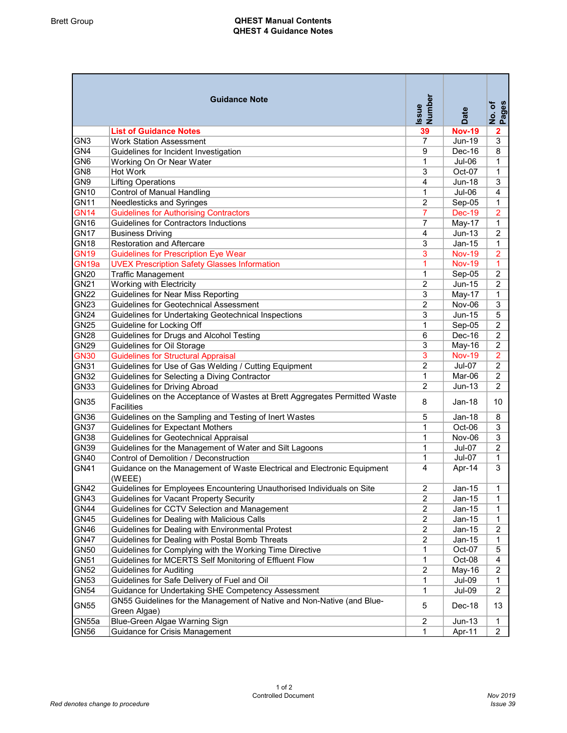## Brett Group **QHEST Manual Contents** QHEST 4 Guidance Notes

|                   | <b>Guidance Note</b>                                                                            | Issue<br>Number | Date          | No. of<br>Pages |
|-------------------|-------------------------------------------------------------------------------------------------|-----------------|---------------|-----------------|
|                   | <b>List of Guidance Notes</b>                                                                   | 39              | <b>Nov-19</b> | $\mathbf{2}$    |
| GN <sub>3</sub>   | <b>Work Station Assessment</b>                                                                  | $\overline{7}$  | Jun-19        | 3               |
| GN4               | Guidelines for Incident Investigation                                                           | 9               | Dec-16        | 8               |
| GN <sub>6</sub>   | Working On Or Near Water                                                                        | $\mathbf{1}$    | Jul-06        | $\mathbf{1}$    |
| GN <sub>8</sub>   | Hot Work                                                                                        | 3               | Oct-07        | $\mathbf{1}$    |
| GN <sub>9</sub>   | <b>Lifting Operations</b>                                                                       | 4               | <b>Jun-18</b> | 3               |
| <b>GN10</b>       | <b>Control of Manual Handling</b>                                                               | $\mathbf 1$     | Jul-06        | 4               |
| <b>GN11</b>       | Needlesticks and Syringes                                                                       | 2               | Sep-05        | $\mathbf{1}$    |
| <b>GN14</b>       | <b>Guidelines for Authorising Contractors</b>                                                   | $\overline{7}$  | <b>Dec-19</b> | $\overline{2}$  |
| <b>GN16</b>       | Guidelines for Contractors Inductions                                                           | $\overline{7}$  | May-17        | $\mathbf{1}$    |
| <b>GN17</b>       | <b>Business Driving</b>                                                                         | 4               | Jun-13        | $\overline{2}$  |
| <b>GN18</b>       | <b>Restoration and Aftercare</b>                                                                | 3               | Jan-15        | $\mathbf{1}$    |
| <b>GN19</b>       | <b>Guidelines for Prescription Eye Wear</b>                                                     | 3               | <b>Nov-19</b> | $\overline{2}$  |
| GN <sub>19a</sub> | <b>UVEX Prescription Safety Glasses Information</b>                                             | 1               | <b>Nov-19</b> | $\mathbf{1}$    |
| <b>GN20</b>       | <b>Traffic Management</b>                                                                       | 1               | Sep-05        | $\overline{2}$  |
| <b>GN21</b>       | Working with Electricity                                                                        | $\overline{2}$  | Jun-15        | 2               |
| <b>GN22</b>       | Guidelines for Near Miss Reporting                                                              | 3               | May-17        | $\mathbf{1}$    |
| <b>GN23</b>       | Guidelines for Geotechnical Assessment                                                          | $\overline{2}$  | Nov-06        | 3               |
| <b>GN24</b>       | Guidelines for Undertaking Geotechnical Inspections                                             | 3               | Jun-15        | 5               |
| <b>GN25</b>       | Guideline for Locking Off                                                                       | 1               | Sep-05        | $\overline{2}$  |
| <b>GN28</b>       | Guidelines for Drugs and Alcohol Testing                                                        | 6               | Dec-16        | $\overline{2}$  |
| <b>GN29</b>       | Guidelines for Oil Storage                                                                      | 3               | May-16        | $\overline{2}$  |
| <b>GN30</b>       | <b>Guidelines for Structural Appraisal</b>                                                      | 3               | <b>Nov-19</b> | $\overline{2}$  |
| <b>GN31</b>       | Guidelines for Use of Gas Welding / Cutting Equipment                                           | 2               | <b>Jul-07</b> | $\overline{2}$  |
| <b>GN32</b>       | Guidelines for Selecting a Diving Contractor                                                    | $\mathbf{1}$    | Mar-06        | $\overline{2}$  |
| <b>GN33</b>       | <b>Guidelines for Driving Abroad</b>                                                            | 2               | $Jun-13$      | $\overline{2}$  |
| <b>GN35</b>       | Guidelines on the Acceptance of Wastes at Brett Aggregates Permitted Waste<br><b>Facilities</b> | 8               | $Jan-18$      | 10              |
| <b>GN36</b>       | Guidelines on the Sampling and Testing of Inert Wastes                                          | 5               | $Jan-18$      | 8               |
| <b>GN37</b>       | Guidelines for Expectant Mothers                                                                | $\mathbf{1}$    | Oct-06        | 3               |
| <b>GN38</b>       | Guidelines for Geotechnical Appraisal                                                           | 1               | Nov-06        | 3               |
| <b>GN39</b>       | Guidelines for the Management of Water and Silt Lagoons                                         | 1               | Jul-07        | $\overline{2}$  |
| <b>GN40</b>       | Control of Demolition / Deconstruction                                                          | $\mathbf{1}$    | Jul-07        | $\mathbf{1}$    |
| <b>GN41</b>       | Guidance on the Management of Waste Electrical and Electronic Equipment<br>(WEEE)               | 4               | Apr-14        | 3               |
| <b>GN42</b>       | Guidelines for Employees Encountering Unauthorised Individuals on Site                          | 2               | $Jan-15$      | 1               |
| <b>GN43</b>       | Guidelines for Vacant Property Security                                                         | 2               | Jan-15        | 1               |
| <b>GN44</b>       | Guidelines for CCTV Selection and Management                                                    | 2               | Jan-15        | 1               |
| GN45              | Guidelines for Dealing with Malicious Calls                                                     | $\overline{2}$  | $Jan-15$      | $\mathbf{1}$    |
| <b>GN46</b>       | Guidelines for Dealing with Environmental Protest                                               | 2               | Jan-15        | $\overline{2}$  |
| <b>GN47</b>       | Guidelines for Dealing with Postal Bomb Threats                                                 | 2               | $Jan-15$      | $\mathbf{1}$    |
| <b>GN50</b>       | Guidelines for Complying with the Working Time Directive                                        | $\mathbf{1}$    | Oct-07        | 5               |
| <b>GN51</b>       | Guidelines for MCERTS Self Monitoring of Effluent Flow                                          | 1               | Oct-08        | 4               |
| <b>GN52</b>       | <b>Guidelines for Auditing</b>                                                                  | 2               | May-16        | $\overline{2}$  |
| <b>GN53</b>       | Guidelines for Safe Delivery of Fuel and Oil                                                    | $\mathbf{1}$    | <b>Jul-09</b> | $\mathbf{1}$    |
| <b>GN54</b>       | Guidance for Undertaking SHE Competency Assessment                                              | $\mathbf{1}$    | <b>Jul-09</b> | $\overline{2}$  |
| <b>GN55</b>       | GN55 Guidelines for the Management of Native and Non-Native (and Blue-<br>Green Algae)          | 5               | Dec-18        | 13              |
| GN55a             | Blue-Green Algae Warning Sign                                                                   |                 |               |                 |
|                   |                                                                                                 | 2               | $Jun-13$      | 1               |
| GN56              | Guidance for Crisis Management                                                                  | 1               | Apr-11        | $\overline{2}$  |